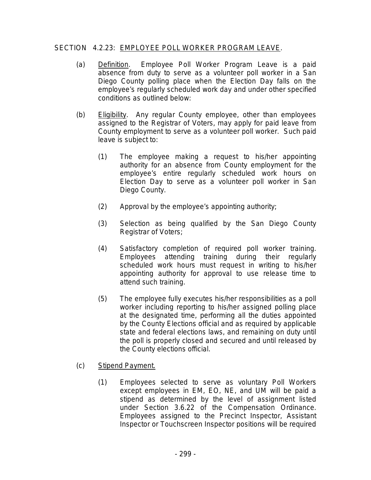## SECTION 4.2.23: EMPLOYEE POLL WORKER PROGRAM LEAVE.

- (a) Definition. Employee Poll Worker Program Leave is a paid absence from duty to serve as a volunteer poll worker in a San Diego County polling place when the Election Day falls on the employee's regularly scheduled work day and under other specified conditions as outlined below:
- (b) Eligibility. Any regular County employee, other than employees assigned to the Registrar of Voters, may apply for paid leave from County employment to serve as a volunteer poll worker. Such paid leave is subject to:
	- (1) The employee making a request to his/her appointing authority for an absence from County employment for the employee's entire regularly scheduled work hours on Election Day to serve as a volunteer poll worker in San Diego County.
	- (2) Approval by the employee's appointing authority;
	- (3) Selection as being qualified by the San Diego County Registrar of Voters;
	- (4) Satisfactory completion of required poll worker training. Employees attending training during their regularly scheduled work hours must request in writing to his/her appointing authority for approval to use release time to attend such training.
	- (5) The employee fully executes his/her responsibilities as a poll worker including reporting to his/her assigned polling place at the designated time, performing all the duties appointed by the County Elections official and as required by applicable state and federal elections laws, and remaining on duty until the poll is properly closed and secured and until released by the County elections official.
- (c) Stipend Payment.
	- (1) Employees selected to serve as voluntary Poll Workers except employees in EM, EO, NE, and UM will be paid a stipend as determined by the level of assignment listed under Section 3.6.22 of the Compensation Ordinance. Employees assigned to the Precinct Inspector, Assistant Inspector or Touchscreen Inspector positions will be required